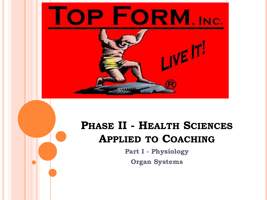

## **PHASE II - HEALTH SCIENCES APPLIED TO COACHING**

**Part I - Physiology Organ Systems**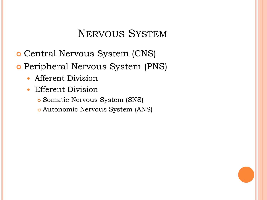#### NERVOUS SYSTEM

- Central Nervous System (CNS)
- o Peripheral Nervous System (PNS)
	- Afferent Division
	- Efferent Division
		- Somatic Nervous System (SNS)
		- Autonomic Nervous System (ANS)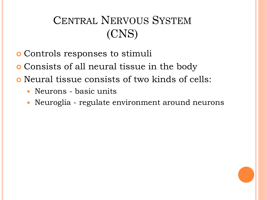## CENTRAL NERVOUS SYSTEM (CNS)

- Controls responses to stimuli
- Consists of all neural tissue in the body
- Neural tissue consists of two kinds of cells:
	- Neurons basic units
	- Neuroglia regulate environment around neurons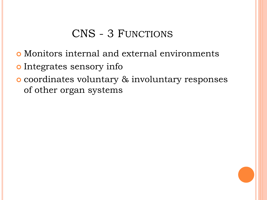## CNS - 3 FUNCTIONS

- Monitors internal and external environments
- o Integrates sensory info
- coordinates voluntary & involuntary responses of other organ systems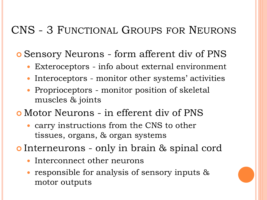### CNS - 3 FUNCTIONAL GROUPS FOR NEURONS

Sensory Neurons - form afferent div of PNS

- Exteroceptors info about external environment
- Interoceptors monitor other systems' activities
- Proprioceptors monitor position of skeletal muscles & joints
- Motor Neurons in efferent div of PNS
	- carry instructions from the CNS to other tissues, organs, & organ systems
- **o** Interneurons only in brain & spinal cord
	- Interconnect other neurons
	- responsible for analysis of sensory inputs & motor outputs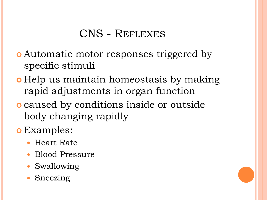#### CNS - REFLEXES

- Automatic motor responses triggered by specific stimuli
- **o** Help us maintain homeostasis by making rapid adjustments in organ function
- caused by conditions inside or outside body changing rapidly
- **o** Examples:
	- Heart Rate
	- Blood Pressure
	- Swallowing
	- Sneezing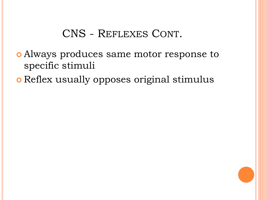#### CNS - REFLEXES CONT.

- Always produces same motor response to specific stimuli
- **o** Reflex usually opposes original stimulus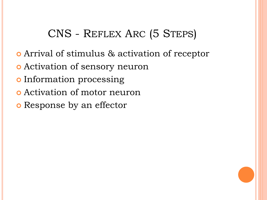## CNS - REFLEX ARC (5 STEPS)

- Arrival of stimulus & activation of receptor
- Activation of sensory neuron
- o Information processing
- Activation of motor neuron
- o Response by an effector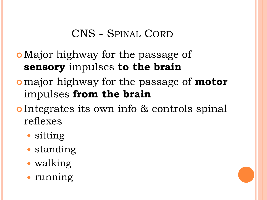### CNS - SPINAL CORD

## Major highway for the passage of **sensory** impulses **to the brain**

- major highway for the passage of **motor**  impulses **from the brain**
- o Integrates its own info & controls spinal reflexes
	- sitting
	- standing
	- walking
	- running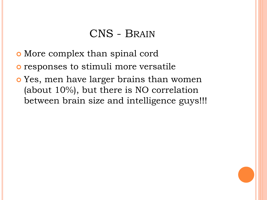#### CNS - BRAIN

- More complex than spinal cord
- responses to stimuli more versatile
- Yes, men have larger brains than women (about 10%), but there is NO correlation between brain size and intelligence guys!!!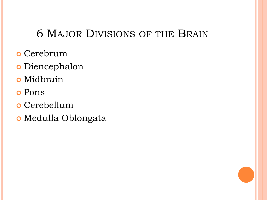### 6 MAJOR DIVISIONS OF THE BRAIN

- o Cerebrum
- Diencephalon
- Midbrain
- Pons
- Cerebellum
- Medulla Oblongata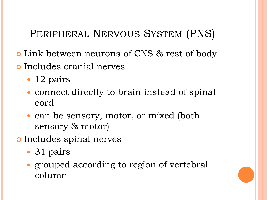## PERIPHERAL NERVOUS SYSTEM (PNS)

- Link between neurons of CNS & rest of body
- Includes cranial nerves
	- 12 pairs
	- connect directly to brain instead of spinal cord
	- can be sensory, motor, or mixed (both sensory & motor)
- o Includes spinal nerves
	- 31 pairs
	- grouped according to region of vertebral column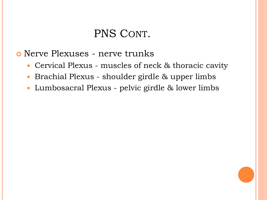#### PNS CONT.

Nerve Plexuses - nerve trunks

- Cervical Plexus muscles of neck & thoracic cavity
- Brachial Plexus shoulder girdle & upper limbs
- Lumbosacral Plexus pelvic girdle & lower limbs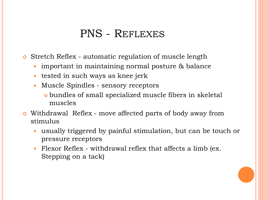#### PNS - REFLEXES

**o** Stretch Reflex - automatic regulation of muscle length

- important in maintaining normal posture & balance
- tested in such ways as knee jerk
- Muscle Spindles sensory receptors
	- bundles of small specialized muscle fibers in skeletal muscles
- Withdrawal Reflex move affected parts of body away from stimulus
	- usually triggered by painful stimulation, but can be touch or pressure receptors
	- Flexor Reflex withdrawal reflex that affects a limb (ex. Stepping on a tack)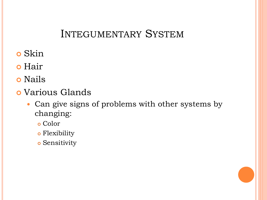#### INTEGUMENTARY SYSTEM

- Skin
- o Hair
- **o** Nails
- Various Glands
	- Can give signs of problems with other systems by changing:
		- Color
		- Flexibility
		- Sensitivity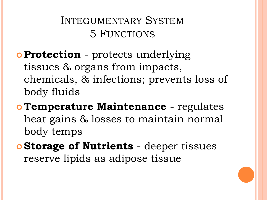## INTEGUMENTARY SYSTEM 5 FUNCTIONS

## **Protection** - protects underlying tissues & organs from impacts, chemicals, & infections; prevents loss of body fluids

- **Temperature Maintenance** regulates heat gains & losses to maintain normal body temps
- **Storage of Nutrients** deeper tissues reserve lipids as adipose tissue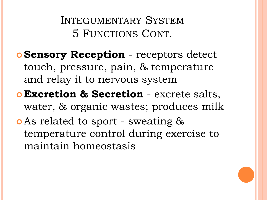INTEGUMENTARY SYSTEM 5 FUNCTIONS CONT.

- **Sensory Reception** receptors detect touch, pressure, pain, & temperature and relay it to nervous system
- **Excretion & Secretion** excrete salts, water, & organic wastes; produces milk As related to sport - sweating & temperature control during exercise to maintain homeostasis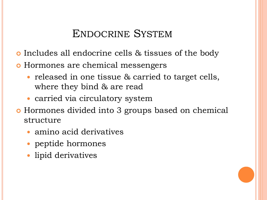#### ENDOCRINE SYSTEM

- **o** Includes all endocrine cells & tissues of the body
- Hormones are chemical messengers
	- released in one tissue & carried to target cells, where they bind & are read
	- carried via circulatory system
- Hormones divided into 3 groups based on chemical structure
	- amino acid derivatives
	- peptide hormones
	- lipid derivatives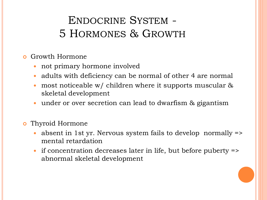## ENDOCRINE SYSTEM - 5 HORMONES & GROWTH

- Growth Hormone
	- not primary hormone involved
	- adults with deficiency can be normal of other 4 are normal
	- most noticeable w/ children where it supports muscular & skeletal development
	- under or over secretion can lead to dwarfism & gigantism
- Thyroid Hormone
	- absent in 1st yr. Nervous system fails to develop normally => mental retardation
	- if concentration decreases later in life, but before puberty => abnormal skeletal development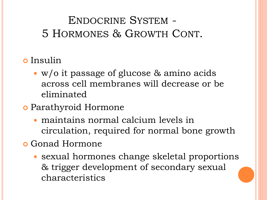## ENDOCRINE SYSTEM - 5 HORMONES & GROWTH CONT.

- **o** Insulin
	- w/o it passage of glucose & amino acids across cell membranes will decrease or be eliminated
- Parathyroid Hormone
	- maintains normal calcium levels in circulation, required for normal bone growth
- **o** Gonad Hormone
	- sexual hormones change skeletal proportions & trigger development of secondary sexual characteristics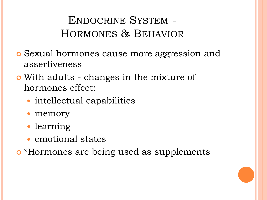## ENDOCRINE SYSTEM - HORMONES & BEHAVIOR

- Sexual hormones cause more aggression and assertiveness
- With adults changes in the mixture of hormones effect:
	- intellectual capabilities
	- memory
	- learning
	- emotional states
- \*Hormones are being used as supplements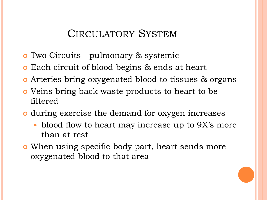#### CIRCULATORY SYSTEM

- Two Circuits pulmonary & systemic
- **o** Each circuit of blood begins & ends at heart
- **o** Arteries bring oxygenated blood to tissues & organs
- Veins bring back waste products to heart to be filtered
- during exercise the demand for oxygen increases
	- blood flow to heart may increase up to 9X's more than at rest
- When using specific body part, heart sends more oxygenated blood to that area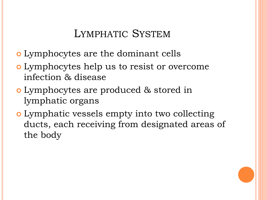#### LYMPHATIC SYSTEM

- Lymphocytes are the dominant cells
- Lymphocytes help us to resist or overcome infection & disease
- Lymphocytes are produced & stored in lymphatic organs
- Lymphatic vessels empty into two collecting ducts, each receiving from designated areas of the body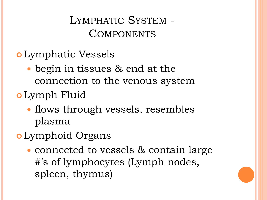LYMPHATIC SYSTEM - **COMPONENTS** 

- Lymphatic Vessels
	- begin in tissues & end at the connection to the venous system
- Lymph Fluid
	- flows through vessels, resembles plasma
- Lymphoid Organs
	- connected to vessels & contain large #'s of lymphocytes (Lymph nodes, spleen, thymus)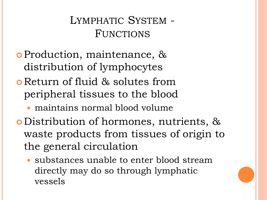## LYMPHATIC SYSTEM - FUNCTIONS

- Production, maintenance, & distribution of lymphocytes
- Return of fluid & solutes from peripheral tissues to the blood
	- maintains normal blood volume
- Distribution of hormones, nutrients, & waste products from tissues of origin to the general circulation
	- substances unable to enter blood stream directly may do so through lymphatic vessels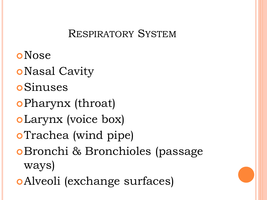#### RESPIRATORY SYSTEM

**o**Nose **o**Nasal Cavity **o**Sinuses Pharynx (throat) Larynx (voice box) **o**Trachea (wind pipe) Bronchi & Bronchioles (passage ways) Alveoli (exchange surfaces)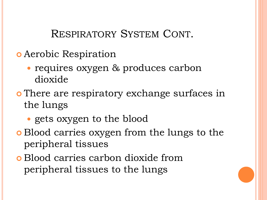RESPIRATORY SYSTEM CONT.

- Aerobic Respiration
	- requires oxygen & produces carbon dioxide
- o There are respiratory exchange surfaces in the lungs
	- gets oxygen to the blood
- Blood carries oxygen from the lungs to the peripheral tissues
- Blood carries carbon dioxide from peripheral tissues to the lungs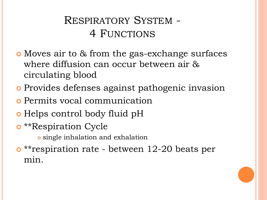## RESPIRATORY SYSTEM - 4 FUNCTIONS

- Moves air to & from the gas-exchange surfaces where diffusion can occur between air & circulating blood
- Provides defenses against pathogenic invasion
- Permits vocal communication
- **o** Helps control body fluid pH
- **o** \*\*Respiration Cycle

single inhalation and exhalation

**o** \*\*respiration rate - between 12-20 beats per min.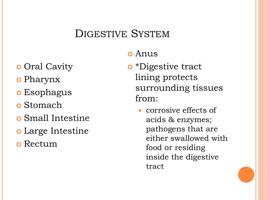#### DIGESTIVE SYSTEM

#### Anus

- \*Digestive tract lining protects surrounding tissues from:
	- corrosive effects of acids & enzymes; pathogens that are either swallowed with food or residing inside the digestive tract
- o Oral Cavity
- Pharynx
- **o** Esophagus
- Stomach
- Small Intestine
- Large Intestine
- Rectum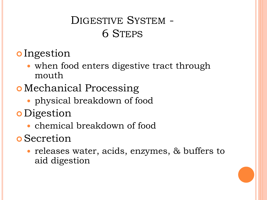## DIGESTIVE SYSTEM - 6 STEPS

- **o** Ingestion
	- when food enters digestive tract through mouth
- Mechanical Processing
	- physical breakdown of food
- **o** Digestion
	- chemical breakdown of food
- **o** Secretion
	- releases water, acids, enzymes, & buffers to aid digestion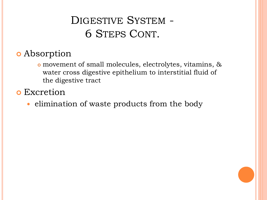## DIGESTIVE SYSTEM - 6 STEPS CONT.

#### Absorption

- movement of small molecules, electrolytes, vitamins, & water cross digestive epithelium to interstitial fluid of the digestive tract
- **o** Excretion
	- elimination of waste products from the body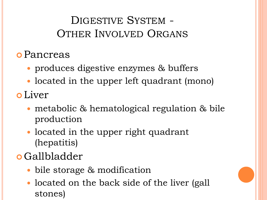## DIGESTIVE SYSTEM - OTHER INVOLVED ORGANS

- Pancreas
	- produces digestive enzymes & buffers
	- located in the upper left quadrant (mono)
- Liver
	- metabolic & hematological regulation & bile production
	- located in the upper right quadrant (hepatitis)
- Gallbladder
	- bile storage & modification
	- located on the back side of the liver (gall stones)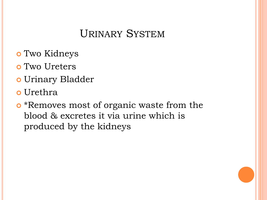### URINARY SYSTEM

- Two Kidneys
- Two Ureters
- Urinary Bladder
- Urethra
- **o** \*Removes most of organic waste from the blood & excretes it via urine which is produced by the kidneys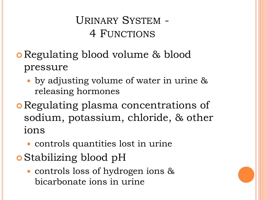## URINARY SYSTEM - 4 FUNCTIONS

- Regulating blood volume & blood pressure
	- by adjusting volume of water in urine & releasing hormones
- Regulating plasma concentrations of sodium, potassium, chloride, & other ions
	- controls quantities lost in urine
- Stabilizing blood pH
	- controls loss of hydrogen ions & bicarbonate ions in urine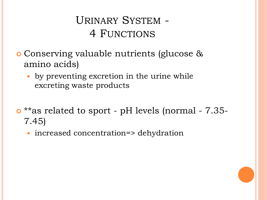## URINARY SYSTEM - 4 FUNCTIONS

- Conserving valuable nutrients (glucose & amino acids)
	- by preventing excretion in the urine while excreting waste products
- \*\*as related to sport pH levels (normal 7.35- 7.45)
	- increased concentration=> dehydration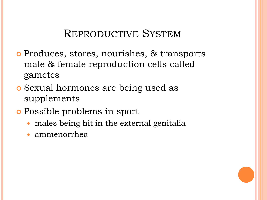#### REPRODUCTIVE SYSTEM

- Produces, stores, nourishes, & transports male & female reproduction cells called gametes
- Sexual hormones are being used as supplements
- Possible problems in sport
	- males being hit in the external genitalia
	- ammenorrhea